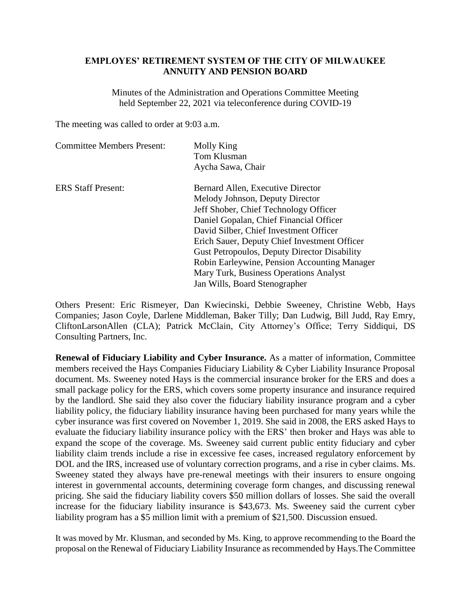## **EMPLOYES' RETIREMENT SYSTEM OF THE CITY OF MILWAUKEE ANNUITY AND PENSION BOARD**

Minutes of the Administration and Operations Committee Meeting held September 22, 2021 via teleconference during COVID-19

The meeting was called to order at 9:03 a.m.

| <b>Committee Members Present:</b> | Molly King<br>Tom Klusman                           |
|-----------------------------------|-----------------------------------------------------|
|                                   | Aycha Sawa, Chair                                   |
| <b>ERS</b> Staff Present:         | Bernard Allen, Executive Director                   |
|                                   | Melody Johnson, Deputy Director                     |
|                                   | Jeff Shober, Chief Technology Officer               |
|                                   | Daniel Gopalan, Chief Financial Officer             |
|                                   | David Silber, Chief Investment Officer              |
|                                   | Erich Sauer, Deputy Chief Investment Officer        |
|                                   | <b>Gust Petropoulos, Deputy Director Disability</b> |
|                                   | Robin Earleywine, Pension Accounting Manager        |
|                                   | Mary Turk, Business Operations Analyst              |
|                                   | Jan Wills, Board Stenographer                       |

Others Present: Eric Rismeyer, Dan Kwiecinski, Debbie Sweeney, Christine Webb, Hays Companies; Jason Coyle, Darlene Middleman, Baker Tilly; Dan Ludwig, Bill Judd, Ray Emry, CliftonLarsonAllen (CLA); Patrick McClain, City Attorney's Office; Terry Siddiqui, DS Consulting Partners, Inc.

**Renewal of Fiduciary Liability and Cyber Insurance.** As a matter of information, Committee members received the Hays Companies Fiduciary Liability & Cyber Liability Insurance Proposal document. Ms. Sweeney noted Hays is the commercial insurance broker for the ERS and does a small package policy for the ERS, which covers some property insurance and insurance required by the landlord. She said they also cover the fiduciary liability insurance program and a cyber liability policy, the fiduciary liability insurance having been purchased for many years while the cyber insurance was first covered on November 1, 2019. She said in 2008, the ERS asked Hays to evaluate the fiduciary liability insurance policy with the ERS' then broker and Hays was able to expand the scope of the coverage. Ms. Sweeney said current public entity fiduciary and cyber liability claim trends include a rise in excessive fee cases, increased regulatory enforcement by DOL and the IRS, increased use of voluntary correction programs, and a rise in cyber claims. Ms. Sweeney stated they always have pre-renewal meetings with their insurers to ensure ongoing interest in governmental accounts, determining coverage form changes, and discussing renewal pricing. She said the fiduciary liability covers \$50 million dollars of losses. She said the overall increase for the fiduciary liability insurance is \$43,673. Ms. Sweeney said the current cyber liability program has a \$5 million limit with a premium of \$21,500. Discussion ensued.

It was moved by Mr. Klusman, and seconded by Ms. King, to approve recommending to the Board the proposal on the Renewal of Fiduciary Liability Insurance as recommended by Hays.The Committee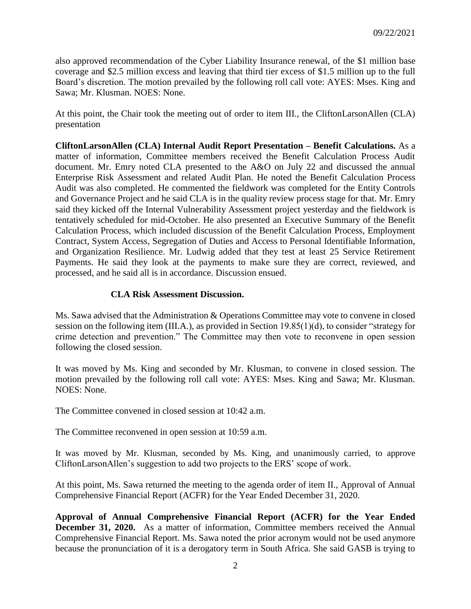also approved recommendation of the Cyber Liability Insurance renewal, of the \$1 million base coverage and \$2.5 million excess and leaving that third tier excess of \$1.5 million up to the full Board's discretion. The motion prevailed by the following roll call vote: AYES: Mses. King and Sawa; Mr. Klusman. NOES: None.

At this point, the Chair took the meeting out of order to item III., the CliftonLarsonAllen (CLA) presentation

**CliftonLarsonAllen (CLA) Internal Audit Report Presentation – Benefit Calculations.** As a matter of information, Committee members received the Benefit Calculation Process Audit document. Mr. Emry noted CLA presented to the A&O on July 22 and discussed the annual Enterprise Risk Assessment and related Audit Plan. He noted the Benefit Calculation Process Audit was also completed. He commented the fieldwork was completed for the Entity Controls and Governance Project and he said CLA is in the quality review process stage for that. Mr. Emry said they kicked off the Internal Vulnerability Assessment project yesterday and the fieldwork is tentatively scheduled for mid-October. He also presented an Executive Summary of the Benefit Calculation Process, which included discussion of the Benefit Calculation Process, Employment Contract, System Access, Segregation of Duties and Access to Personal Identifiable Information, and Organization Resilience. Mr. Ludwig added that they test at least 25 Service Retirement Payments. He said they look at the payments to make sure they are correct, reviewed, and processed, and he said all is in accordance. Discussion ensued.

## **CLA Risk Assessment Discussion.**

Ms. Sawa advised that the Administration & Operations Committee may vote to convene in closed session on the following item (III.A.), as provided in Section 19.85(1)(d), to consider "strategy for crime detection and prevention." The Committee may then vote to reconvene in open session following the closed session.

It was moved by Ms. King and seconded by Mr. Klusman, to convene in closed session. The motion prevailed by the following roll call vote: AYES: Mses. King and Sawa; Mr. Klusman. NOES: None.

The Committee convened in closed session at 10:42 a.m.

The Committee reconvened in open session at 10:59 a.m.

It was moved by Mr. Klusman, seconded by Ms. King, and unanimously carried, to approve CliftonLarsonAllen's suggestion to add two projects to the ERS' scope of work.

At this point, Ms. Sawa returned the meeting to the agenda order of item II., Approval of Annual Comprehensive Financial Report (ACFR) for the Year Ended December 31, 2020.

**Approval of Annual Comprehensive Financial Report (ACFR) for the Year Ended December 31, 2020.** As a matter of information, Committee members received the Annual Comprehensive Financial Report. Ms. Sawa noted the prior acronym would not be used anymore because the pronunciation of it is a derogatory term in South Africa. She said GASB is trying to